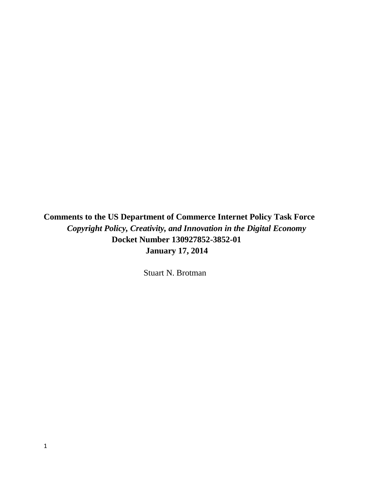**Comments to the US Department of Commerce Internet Policy Task Force**   *Copyright Policy, Creativity, and Innovation in the Digital Economy* **Docket Number 130927852-3852-01** **January 17, 2014** 

Stuart N. Brotman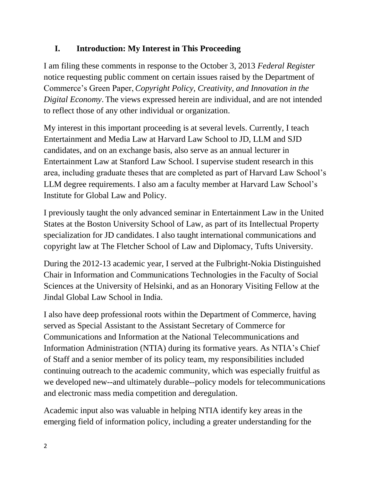# **I. Introduction: My Interest in This Proceeding**

I am filing these comments in response to the October 3, 2013 *Federal Register* notice requesting public comment on certain issues raised by the Department of Commerce's Green Paper, *Copyright Policy, Creativity, and Innovation in the Digital Economy*. The views expressed herein are individual, and are not intended to reflect those of any other individual or organization.

My interest in this important proceeding is at several levels. Currently, I teach Entertainment and Media Law at Harvard Law School to JD, LLM and SJD candidates, and on an exchange basis, also serve as an annual lecturer in Entertainment Law at Stanford Law School. I supervise student research in this area, including graduate theses that are completed as part of Harvard Law School's LLM degree requirements. I also am a faculty member at Harvard Law School's Institute for Global Law and Policy.

I previously taught the only advanced seminar in Entertainment Law in the United States at the Boston University School of Law, as part of its Intellectual Property specialization for JD candidates. I also taught international communications and copyright law at The Fletcher School of Law and Diplomacy, Tufts University.

During the 2012-13 academic year, I served at the Fulbright-Nokia Distinguished Chair in Information and Communications Technologies in the Faculty of Social Sciences at the University of Helsinki, and as an Honorary Visiting Fellow at the Jindal Global Law School in India.

I also have deep professional roots within the Department of Commerce, having served as Special Assistant to the Assistant Secretary of Commerce for Communications and Information at the National Telecommunications and Information Administration (NTIA) during its formative years. As NTIA's Chief of Staff and a senior member of its policy team, my responsibilities included continuing outreach to the academic community, which was especially fruitful as we developed new--and ultimately durable--policy models for telecommunications and electronic mass media competition and deregulation.

Academic input also was valuable in helping NTIA identify key areas in the emerging field of information policy, including a greater understanding for the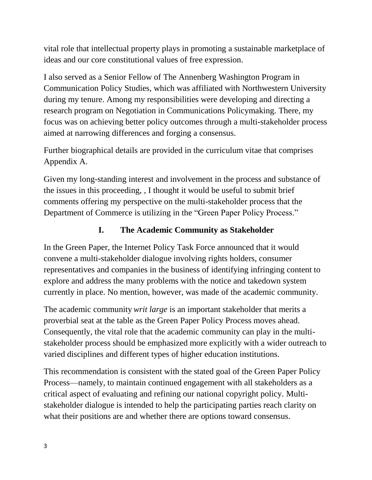vital role that intellectual property plays in promoting a sustainable marketplace of ideas and our core constitutional values of free expression.

I also served as a Senior Fellow of The Annenberg Washington Program in Communication Policy Studies, which was affiliated with Northwestern University during my tenure. Among my responsibilities were developing and directing a research program on Negotiation in Communications Policymaking. There, my focus was on achieving better policy outcomes through a multi-stakeholder process aimed at narrowing differences and forging a consensus.

Further biographical details are provided in the curriculum vitae that comprises Appendix A.

Given my long-standing interest and involvement in the process and substance of the issues in this proceeding, , I thought it would be useful to submit brief comments offering my perspective on the multi-stakeholder process that the Department of Commerce is utilizing in the "Green Paper Policy Process."

# **I. The Academic Community as Stakeholder**

In the Green Paper, the Internet Policy Task Force announced that it would convene a multi-stakeholder dialogue involving rights holders, consumer representatives and companies in the business of identifying infringing content to explore and address the many problems with the notice and takedown system currently in place. No mention, however, was made of the academic community.

The academic community *writ large* is an important stakeholder that merits a proverbial seat at the table as the Green Paper Policy Process moves ahead. Consequently, the vital role that the academic community can play in the multistakeholder process should be emphasized more explicitly with a wider outreach to varied disciplines and different types of higher education institutions.

This recommendation is consistent with the stated goal of the Green Paper Policy Process—namely, to maintain continued engagement with all stakeholders as a critical aspect of evaluating and refining our national copyright policy. Multistakeholder dialogue is intended to help the participating parties reach clarity on what their positions are and whether there are options toward consensus.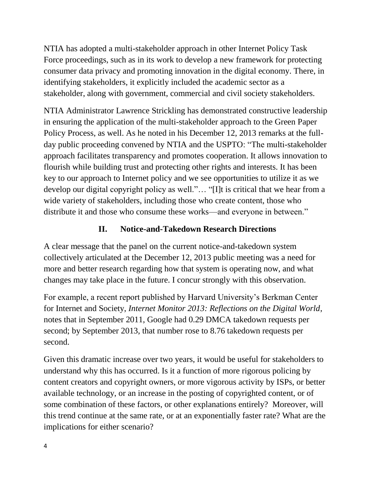NTIA has adopted a multi-stakeholder approach in other Internet Policy Task Force proceedings, such as in its work to develop a new framework for protecting consumer data privacy and promoting innovation in the digital economy. There, in identifying stakeholders, it explicitly included the academic sector as a stakeholder, along with government, commercial and civil society stakeholders.

NTIA Administrator Lawrence Strickling has demonstrated constructive leadership in ensuring the application of the multi-stakeholder approach to the Green Paper Policy Process, as well. As he noted in his December 12, 2013 remarks at the fullday public proceeding convened by NTIA and the USPTO: "The multi-stakeholder approach facilitates transparency and promotes cooperation. It allows innovation to flourish while building trust and protecting other rights and interests. It has been key to our approach to Internet policy and we see opportunities to utilize it as we develop our digital copyright policy as well."… "[I]t is critical that we hear from a wide variety of stakeholders, including those who create content, those who distribute it and those who consume these works—and everyone in between."

# **II. Notice-and-Takedown Research Directions**

A clear message that the panel on the current notice-and-takedown system collectively articulated at the December 12, 2013 public meeting was a need for more and better research regarding how that system is operating now, and what changes may take place in the future. I concur strongly with this observation.

For example, a recent report published by Harvard University's Berkman Center for Internet and Society, *Internet Monitor 2013: Reflections on the Digital World*, notes that in September 2011, Google had 0.29 DMCA takedown requests per second; by September 2013, that number rose to 8.76 takedown requests per second.

Given this dramatic increase over two years, it would be useful for stakeholders to understand why this has occurred. Is it a function of more rigorous policing by content creators and copyright owners, or more vigorous activity by ISPs, or better available technology, or an increase in the posting of copyrighted content, or of some combination of these factors, or other explanations entirely? Moreover, will this trend continue at the same rate, or at an exponentially faster rate? What are the implications for either scenario?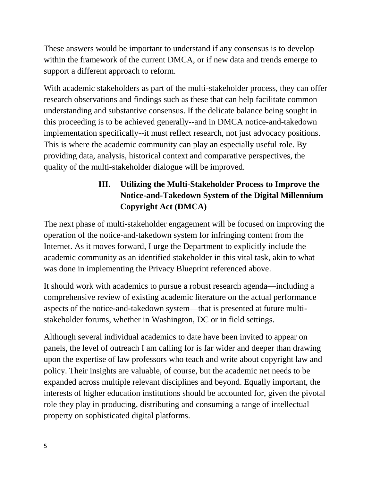These answers would be important to understand if any consensus is to develop within the framework of the current DMCA, or if new data and trends emerge to support a different approach to reform.

With academic stakeholders as part of the multi-stakeholder process, they can offer research observations and findings such as these that can help facilitate common understanding and substantive consensus. If the delicate balance being sought in this proceeding is to be achieved generally--and in DMCA notice-and-takedown implementation specifically--it must reflect research, not just advocacy positions. This is where the academic community can play an especially useful role. By providing data, analysis, historical context and comparative perspectives, the quality of the multi-stakeholder dialogue will be improved.

# **III. Utilizing the Multi-Stakeholder Process to Improve the Notice-and-Takedown System of the Digital Millennium Copyright Act (DMCA)**

The next phase of multi-stakeholder engagement will be focused on improving the operation of the notice-and-takedown system for infringing content from the Internet. As it moves forward, I urge the Department to explicitly include the academic community as an identified stakeholder in this vital task, akin to what was done in implementing the Privacy Blueprint referenced above.

It should work with academics to pursue a robust research agenda—including a comprehensive review of existing academic literature on the actual performance aspects of the notice-and-takedown system—that is presented at future multistakeholder forums, whether in Washington, DC or in field settings.

Although several individual academics to date have been invited to appear on panels, the level of outreach I am calling for is far wider and deeper than drawing upon the expertise of law professors who teach and write about copyright law and policy. Their insights are valuable, of course, but the academic net needs to be expanded across multiple relevant disciplines and beyond. Equally important, the interests of higher education institutions should be accounted for, given the pivotal role they play in producing, distributing and consuming a range of intellectual property on sophisticated digital platforms.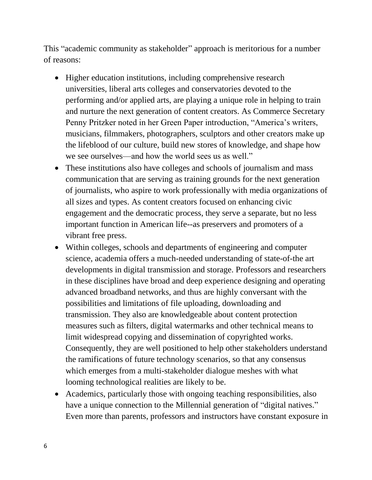This "academic community as stakeholder" approach is meritorious for a number of reasons:

- Higher education institutions, including comprehensive research universities, liberal arts colleges and conservatories devoted to the performing and/or applied arts, are playing a unique role in helping to train and nurture the next generation of content creators. As Commerce Secretary Penny Pritzker noted in her Green Paper introduction, "America's writers, musicians, filmmakers, photographers, sculptors and other creators make up the lifeblood of our culture, build new stores of knowledge, and shape how we see ourselves—and how the world sees us as well."
- These institutions also have colleges and schools of journalism and mass communication that are serving as training grounds for the next generation of journalists, who aspire to work professionally with media organizations of all sizes and types. As content creators focused on enhancing civic engagement and the democratic process, they serve a separate, but no less important function in American life--as preservers and promoters of a vibrant free press.
- Within colleges, schools and departments of engineering and computer science, academia offers a much-needed understanding of state-of-the art developments in digital transmission and storage. Professors and researchers in these disciplines have broad and deep experience designing and operating advanced broadband networks, and thus are highly conversant with the possibilities and limitations of file uploading, downloading and transmission. They also are knowledgeable about content protection measures such as filters, digital watermarks and other technical means to limit widespread copying and dissemination of copyrighted works. Consequently, they are well positioned to help other stakeholders understand the ramifications of future technology scenarios, so that any consensus which emerges from a multi-stakeholder dialogue meshes with what looming technological realities are likely to be.
- Academics, particularly those with ongoing teaching responsibilities, also have a unique connection to the Millennial generation of "digital natives." Even more than parents, professors and instructors have constant exposure in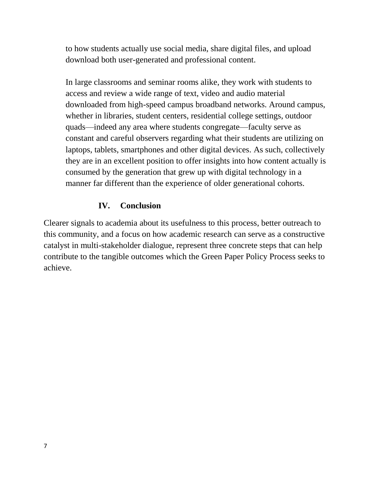to how students actually use social media, share digital files, and upload download both user-generated and professional content.

In large classrooms and seminar rooms alike, they work with students to access and review a wide range of text, video and audio material downloaded from high-speed campus broadband networks. Around campus, whether in libraries, student centers, residential college settings, outdoor quads—indeed any area where students congregate—faculty serve as constant and careful observers regarding what their students are utilizing on laptops, tablets, smartphones and other digital devices. As such, collectively they are in an excellent position to offer insights into how content actually is consumed by the generation that grew up with digital technology in a manner far different than the experience of older generational cohorts.

## **IV. Conclusion**

Clearer signals to academia about its usefulness to this process, better outreach to this community, and a focus on how academic research can serve as a constructive catalyst in multi-stakeholder dialogue, represent three concrete steps that can help contribute to the tangible outcomes which the Green Paper Policy Process seeks to achieve.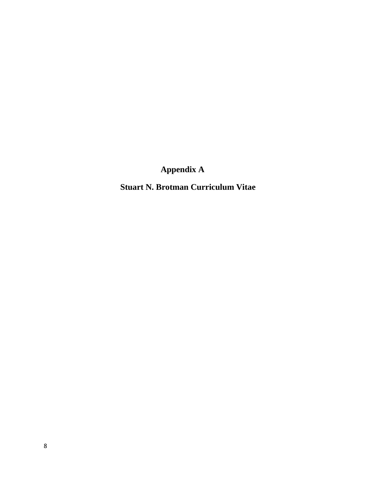**Appendix A**

 **Stuart N. Brotman Curriculum Vitae**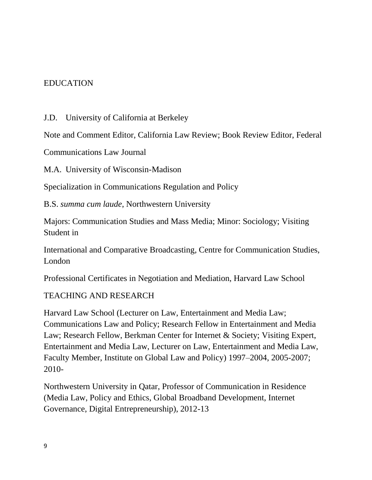#### EDUCATION

J.D. University of California at Berkeley

Note and Comment Editor, California Law Review; Book Review Editor, Federal

Communications Law Journal

M.A. University of Wisconsin-Madison

Specialization in Communications Regulation and Policy

B.S. *summa cum laude*, Northwestern University

Majors: Communication Studies and Mass Media; Minor: Sociology; Visiting Student in

International and Comparative Broadcasting, Centre for Communication Studies, London

Professional Certificates in Negotiation and Mediation, Harvard Law School

#### TEACHING AND RESEARCH

Harvard Law School (Lecturer on Law, Entertainment and Media Law; Communications Law and Policy; Research Fellow in Entertainment and Media Law; Research Fellow, Berkman Center for Internet & Society; Visiting Expert, Entertainment and Media Law, Lecturer on Law, Entertainment and Media Law, Faculty Member, Institute on Global Law and Policy) 1997–2004, 2005-2007; 2010-

Northwestern University in Qatar, Professor of Communication in Residence (Media Law, Policy and Ethics, Global Broadband Development, Internet Governance, Digital Entrepreneurship), 2012-13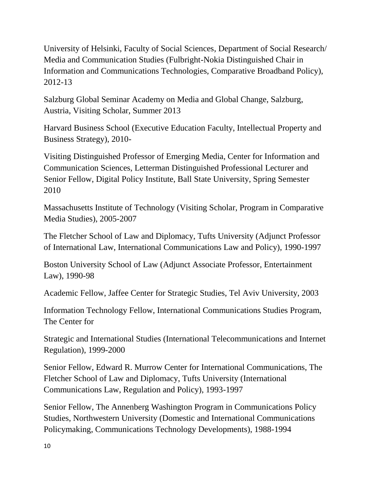University of Helsinki, Faculty of Social Sciences, Department of Social Research/ Media and Communication Studies (Fulbright-Nokia Distinguished Chair in Information and Communications Technologies, Comparative Broadband Policy), 2012-13

Salzburg Global Seminar Academy on Media and Global Change, Salzburg, Austria, Visiting Scholar, Summer 2013

Harvard Business School (Executive Education Faculty, Intellectual Property and Business Strategy), 2010-

Visiting Distinguished Professor of Emerging Media, Center for Information and Communication Sciences, Letterman Distinguished Professional Lecturer and Senior Fellow, Digital Policy Institute, Ball State University, Spring Semester 2010

Massachusetts Institute of Technology (Visiting Scholar, Program in Comparative Media Studies), 2005-2007

The Fletcher School of Law and Diplomacy, Tufts University (Adjunct Professor of International Law, International Communications Law and Policy), 1990-1997

Boston University School of Law (Adjunct Associate Professor, Entertainment Law), 1990-98

Academic Fellow, Jaffee Center for Strategic Studies, Tel Aviv University, 2003

Information Technology Fellow, International Communications Studies Program, The Center for

Strategic and International Studies (International Telecommunications and Internet Regulation), 1999-2000

Senior Fellow, Edward R. Murrow Center for International Communications, The Fletcher School of Law and Diplomacy, Tufts University (International Communications Law, Regulation and Policy), 1993-1997

Senior Fellow, The Annenberg Washington Program in Communications Policy Studies, Northwestern University (Domestic and International Communications Policymaking, Communications Technology Developments), 1988-1994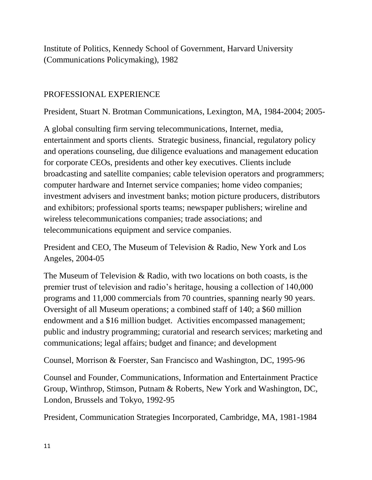Institute of Politics, Kennedy School of Government, Harvard University (Communications Policymaking), 1982

## PROFESSIONAL EXPERIENCE

President, Stuart N. Brotman Communications, Lexington, MA, 1984-2004; 2005-

A global consulting firm serving telecommunications, Internet, media, entertainment and sports clients. Strategic business, financial, regulatory policy and operations counseling, due diligence evaluations and management education for corporate CEOs, presidents and other key executives. Clients include broadcasting and satellite companies; cable television operators and programmers; computer hardware and Internet service companies; home video companies; investment advisers and investment banks; motion picture producers, distributors and exhibitors; professional sports teams; newspaper publishers; wireline and wireless telecommunications companies; trade associations; and telecommunications equipment and service companies.

President and CEO, The Museum of Television & Radio, New York and Los Angeles, 2004-05

The Museum of Television & Radio, with two locations on both coasts, is the premier trust of television and radio's heritage, housing a collection of 140,000 programs and 11,000 commercials from 70 countries, spanning nearly 90 years. Oversight of all Museum operations; a combined staff of 140; a \$60 million endowment and a \$16 million budget. Activities encompassed management; public and industry programming; curatorial and research services; marketing and communications; legal affairs; budget and finance; and development

Counsel, Morrison & Foerster, San Francisco and Washington, DC, 1995-96

Counsel and Founder, Communications, Information and Entertainment Practice Group, Winthrop, Stimson, Putnam & Roberts, New York and Washington, DC, London, Brussels and Tokyo, 1992-95

President, Communication Strategies Incorporated, Cambridge, MA, 1981-1984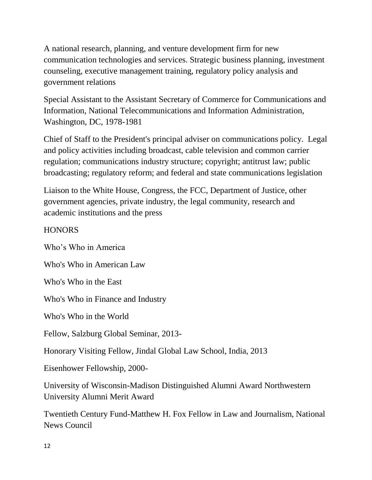A national research, planning, and venture development firm for new communication technologies and services. Strategic business planning, investment counseling, executive management training, regulatory policy analysis and government relations

Special Assistant to the Assistant Secretary of Commerce for Communications and Information, National Telecommunications and Information Administration, Washington, DC, 1978-1981

Chief of Staff to the President's principal adviser on communications policy. Legal and policy activities including broadcast, cable television and common carrier regulation; communications industry structure; copyright; antitrust law; public broadcasting; regulatory reform; and federal and state communications legislation

Liaison to the White House, Congress, the FCC, Department of Justice, other government agencies, private industry, the legal community, research and academic institutions and the press

### **HONORS**

Who's Who in America Who's Who in American Law Who's Who in the East Who's Who in Finance and Industry Who's Who in the World Fellow, Salzburg Global Seminar, 2013- Honorary Visiting Fellow, Jindal Global Law School, India, 2013 Eisenhower Fellowship, 2000- University of Wisconsin-Madison Distinguished Alumni Award Northwestern University Alumni Merit Award

Twentieth Century Fund-Matthew H. Fox Fellow in Law and Journalism, National News Council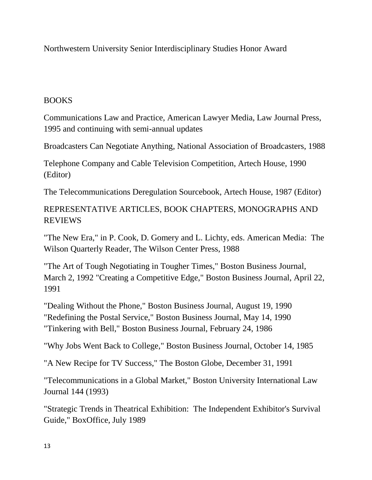Northwestern University Senior Interdisciplinary Studies Honor Award

#### BOOKS

Communications Law and Practice, American Lawyer Media, Law Journal Press, 1995 and continuing with semi-annual updates

Broadcasters Can Negotiate Anything, National Association of Broadcasters, 1988

Telephone Company and Cable Television Competition, Artech House, 1990 (Editor)

The Telecommunications Deregulation Sourcebook, Artech House, 1987 (Editor)

# REPRESENTATIVE ARTICLES, BOOK CHAPTERS, MONOGRAPHS AND REVIEWS

"The New Era," in P. Cook, D. Gomery and L. Lichty, eds. American Media: The Wilson Quarterly Reader, The Wilson Center Press, 1988

"The Art of Tough Negotiating in Tougher Times," Boston Business Journal, March 2, 1992 "Creating a Competitive Edge," Boston Business Journal, April 22, 1991

"Dealing Without the Phone," Boston Business Journal, August 19, 1990 "Redefining the Postal Service," Boston Business Journal, May 14, 1990 "Tinkering with Bell," Boston Business Journal, February 24, 1986

"Why Jobs Went Back to College," Boston Business Journal, October 14, 1985

"A New Recipe for TV Success," The Boston Globe, December 31, 1991

"Telecommunications in a Global Market," Boston University International Law Journal 144 (1993)

"Strategic Trends in Theatrical Exhibition: The Independent Exhibitor's Survival Guide," BoxOffice, July 1989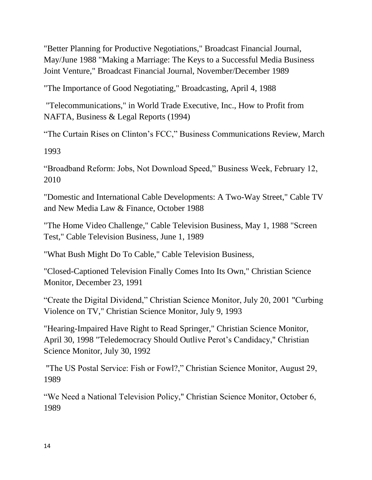"Better Planning for Productive Negotiations," Broadcast Financial Journal, May/June 1988 "Making a Marriage: The Keys to a Successful Media Business Joint Venture," Broadcast Financial Journal, November/December 1989

"The Importance of Good Negotiating," Broadcasting, April 4, 1988

"Telecommunications," in World Trade Executive, Inc., How to Profit from NAFTA, Business & Legal Reports (1994)

"The Curtain Rises on Clinton's FCC," Business Communications Review, March

1993

"Broadband Reform: Jobs, Not Download Speed," Business Week, February 12, 2010

"Domestic and International Cable Developments: A Two-Way Street," Cable TV and New Media Law & Finance, October 1988

"The Home Video Challenge," Cable Television Business, May 1, 1988 "Screen Test," Cable Television Business, June 1, 1989

"What Bush Might Do To Cable," Cable Television Business,

"Closed-Captioned Television Finally Comes Into Its Own," Christian Science Monitor, December 23, 1991

"Create the Digital Dividend," Christian Science Monitor, July 20, 2001 "Curbing Violence on TV," Christian Science Monitor, July 9, 1993

"Hearing-Impaired Have Right to Read Springer," Christian Science Monitor, April 30, 1998 "Teledemocracy Should Outlive Perot's Candidacy," Christian Science Monitor, July 30, 1992

"The US Postal Service: Fish or Fowl?," Christian Science Monitor, August 29, 1989

"We Need a National Television Policy," Christian Science Monitor, October 6, 1989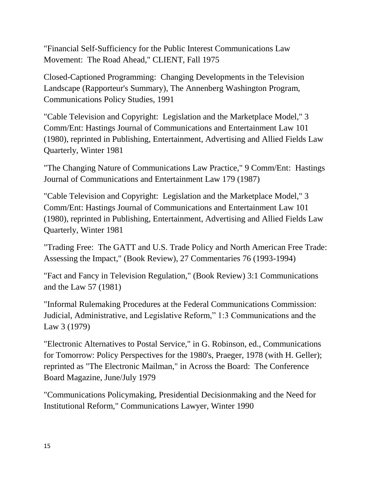"Financial Self-Sufficiency for the Public Interest Communications Law Movement: The Road Ahead," CLIENT, Fall 1975

Closed-Captioned Programming: Changing Developments in the Television Landscape (Rapporteur's Summary), The Annenberg Washington Program, Communications Policy Studies, 1991

"Cable Television and Copyright: Legislation and the Marketplace Model," 3 Comm/Ent: Hastings Journal of Communications and Entertainment Law 101 (1980), reprinted in Publishing, Entertainment, Advertising and Allied Fields Law Quarterly, Winter 1981

"The Changing Nature of Communications Law Practice," 9 Comm/Ent: Hastings Journal of Communications and Entertainment Law 179 (1987)

"Cable Television and Copyright: Legislation and the Marketplace Model," 3 Comm/Ent: Hastings Journal of Communications and Entertainment Law 101 (1980), reprinted in Publishing, Entertainment, Advertising and Allied Fields Law Quarterly, Winter 1981

"Trading Free: The GATT and U.S. Trade Policy and North American Free Trade: Assessing the Impact," (Book Review), 27 Commentaries 76 (1993-1994)

"Fact and Fancy in Television Regulation," (Book Review) 3:1 Communications and the Law 57 (1981)

"Informal Rulemaking Procedures at the Federal Communications Commission: Judicial, Administrative, and Legislative Reform," 1:3 Communications and the Law 3 (1979)

"Electronic Alternatives to Postal Service," in G. Robinson, ed., Communications for Tomorrow: Policy Perspectives for the 1980's, Praeger, 1978 (with H. Geller); reprinted as "The Electronic Mailman," in Across the Board: The Conference Board Magazine, June/July 1979

"Communications Policymaking, Presidential Decisionmaking and the Need for Institutional Reform," Communications Lawyer, Winter 1990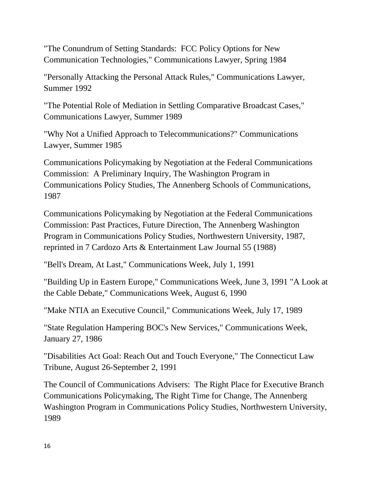"The Conundrum of Setting Standards: FCC Policy Options for New Communication Technologies," Communications Lawyer, Spring 1984

"Personally Attacking the Personal Attack Rules," Communications Lawyer, Summer 1992

"The Potential Role of Mediation in Settling Comparative Broadcast Cases," Communications Lawyer, Summer 1989

"Why Not a Unified Approach to Telecommunications?" Communications Lawyer, Summer 1985

Communications Policymaking by Negotiation at the Federal Communications Commission: A Preliminary Inquiry, The Washington Program in Communications Policy Studies, The Annenberg Schools of Communications, 1987

Communications Policymaking by Negotiation at the Federal Communications Commission: Past Practices, Future Direction, The Annenberg Washington Program in Communications Policy Studies, Northwestern University, 1987, reprinted in 7 Cardozo Arts & Entertainment Law Journal 55 (1988)

"Bell's Dream, At Last," Communications Week, July 1, 1991

"Building Up in Eastern Europe," Communications Week, June 3, 1991 "A Look at the Cable Debate," Communications Week, August 6, 1990

"Make NTIA an Executive Council," Communications Week, July 17, 1989

"State Regulation Hampering BOC's New Services," Communications Week, January 27, 1986

"Disabilities Act Goal: Reach Out and Touch Everyone," The Connecticut Law Tribune, August 26-September 2, 1991

The Council of Communications Advisers: The Right Place for Executive Branch Communications Policymaking, The Right Time for Change, The Annenberg Washington Program in Communications Policy Studies, Northwestern University, 1989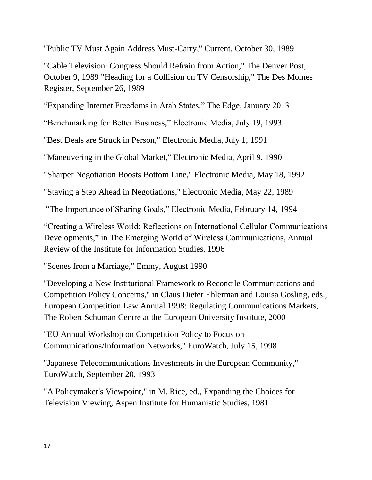"Public TV Must Again Address Must-Carry," Current, October 30, 1989

"Cable Television: Congress Should Refrain from Action," The Denver Post, October 9, 1989 "Heading for a Collision on TV Censorship," The Des Moines Register, September 26, 1989

"Expanding Internet Freedoms in Arab States," The Edge, January 2013

"Benchmarking for Better Business," Electronic Media, July 19, 1993

"Best Deals are Struck in Person," Electronic Media, July 1, 1991

"Maneuvering in the Global Market," Electronic Media, April 9, 1990

"Sharper Negotiation Boosts Bottom Line," Electronic Media, May 18, 1992

"Staying a Step Ahead in Negotiations," Electronic Media, May 22, 1989

"The Importance of Sharing Goals," Electronic Media, February 14, 1994

"Creating a Wireless World: Reflections on International Cellular Communications Developments," in The Emerging World of Wireless Communications, Annual Review of the Institute for Information Studies, 1996

"Scenes from a Marriage," Emmy, August 1990

"Developing a New Institutional Framework to Reconcile Communications and Competition Policy Concerns," in Claus Dieter Ehlerman and Louisa Gosling, eds., European Competition Law Annual 1998: Regulating Communications Markets, The Robert Schuman Centre at the European University Institute, 2000

"EU Annual Workshop on Competition Policy to Focus on Communications/Information Networks," EuroWatch, July 15, 1998

"Japanese Telecommunications Investments in the European Community," EuroWatch, September 20, 1993

"A Policymaker's Viewpoint," in M. Rice, ed., Expanding the Choices for Television Viewing, Aspen Institute for Humanistic Studies, 1981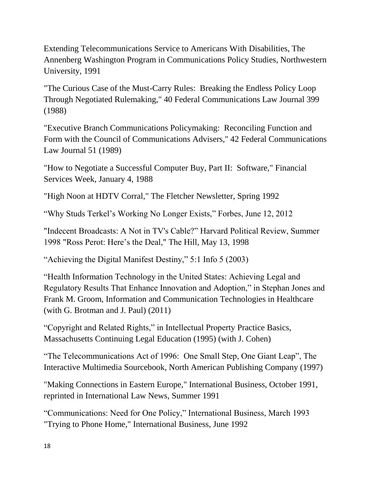Extending Telecommunications Service to Americans With Disabilities, The Annenberg Washington Program in Communications Policy Studies, Northwestern University, 1991

"The Curious Case of the Must-Carry Rules: Breaking the Endless Policy Loop Through Negotiated Rulemaking," 40 Federal Communications Law Journal 399 (1988)

"Executive Branch Communications Policymaking: Reconciling Function and Form with the Council of Communications Advisers," 42 Federal Communications Law Journal 51 (1989)

"How to Negotiate a Successful Computer Buy, Part II: Software," Financial Services Week, January 4, 1988

"High Noon at HDTV Corral," The Fletcher Newsletter, Spring 1992

"Why Studs Terkel's Working No Longer Exists," Forbes, June 12, 2012

"Indecent Broadcasts: A Not in TV's Cable?" Harvard Political Review, Summer 1998 "Ross Perot: Here's the Deal," The Hill, May 13, 1998

"Achieving the Digital Manifest Destiny," 5:1 Info 5 (2003)

"Health Information Technology in the United States: Achieving Legal and Regulatory Results That Enhance Innovation and Adoption," in Stephan Jones and Frank M. Groom, Information and Communication Technologies in Healthcare (with G. Brotman and J. Paul) (2011)

"Copyright and Related Rights," in Intellectual Property Practice Basics, Massachusetts Continuing Legal Education (1995) (with J. Cohen)

"The Telecommunications Act of 1996: One Small Step, One Giant Leap", The Interactive Multimedia Sourcebook, North American Publishing Company (1997)

"Making Connections in Eastern Europe," International Business, October 1991, reprinted in International Law News, Summer 1991

"Communications: Need for One Policy," International Business, March 1993 "Trying to Phone Home," International Business, June 1992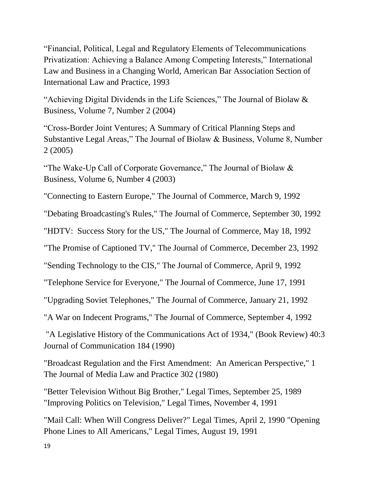"Financial, Political, Legal and Regulatory Elements of Telecommunications Privatization: Achieving a Balance Among Competing Interests," International Law and Business in a Changing World, American Bar Association Section of International Law and Practice, 1993

"Achieving Digital Dividends in the Life Sciences," The Journal of Biolaw & Business, Volume 7, Number 2 (2004)

"Cross-Border Joint Ventures; A Summary of Critical Planning Steps and Substantive Legal Areas," The Journal of Biolaw & Business, Volume 8, Number 2 (2005)

"The Wake-Up Call of Corporate Governance," The Journal of Biolaw  $\&$ Business, Volume 6, Number 4 (2003)

"Connecting to Eastern Europe," The Journal of Commerce, March 9, 1992

"Debating Broadcasting's Rules," The Journal of Commerce, September 30, 1992

"HDTV: Success Story for the US," The Journal of Commerce, May 18, 1992

"The Promise of Captioned TV," The Journal of Commerce, December 23, 1992

"Sending Technology to the CIS," The Journal of Commerce, April 9, 1992

"Telephone Service for Everyone," The Journal of Commerce, June 17, 1991

"Upgrading Soviet Telephones," The Journal of Commerce, January 21, 1992

"A War on Indecent Programs," The Journal of Commerce, September 4, 1992

"A Legislative History of the Communications Act of 1934," (Book Review) 40:3 Journal of Communication 184 (1990)

"Broadcast Regulation and the First Amendment: An American Perspective," 1 The Journal of Media Law and Practice 302 (1980)

"Better Television Without Big Brother," Legal Times, September 25, 1989 "Improving Politics on Television," Legal Times, November 4, 1991

"Mail Call: When Will Congress Deliver?" Legal Times, April 2, 1990 "Opening Phone Lines to All Americans," Legal Times, August 19, 1991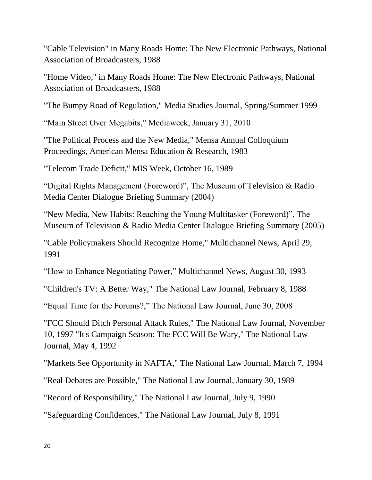"Cable Television" in Many Roads Home: The New Electronic Pathways, National Association of Broadcasters, 1988

"Home Video," in Many Roads Home: The New Electronic Pathways, National Association of Broadcasters, 1988

"The Bumpy Road of Regulation," Media Studies Journal, Spring/Summer 1999

"Main Street Over Megabits," Mediaweek, January 31, 2010

"The Political Process and the New Media," Mensa Annual Colloquium Proceedings, American Mensa Education & Research, 1983

"Telecom Trade Deficit," MIS Week, October 16, 1989

"Digital Rights Management (Foreword)", The Museum of Television & Radio Media Center Dialogue Briefing Summary (2004)

"New Media, New Habits: Reaching the Young Multitasker (Foreword)", The Museum of Television & Radio Media Center Dialogue Briefing Summary (2005)

"Cable Policymakers Should Recognize Home," Multichannel News, April 29, 1991

"How to Enhance Negotiating Power," Multichannel News, August 30, 1993

"Children's TV: A Better Way," The National Law Journal, February 8, 1988

"Equal Time for the Forums?," The National Law Journal, June 30, 2008

"FCC Should Ditch Personal Attack Rules," The National Law Journal, November 10, 1997 "It's Campaign Season: The FCC Will Be Wary," The National Law Journal, May 4, 1992

"Markets See Opportunity in NAFTA," The National Law Journal, March 7, 1994

"Real Debates are Possible," The National Law Journal, January 30, 1989

"Record of Responsibility," The National Law Journal, July 9, 1990

"Safeguarding Confidences," The National Law Journal, July 8, 1991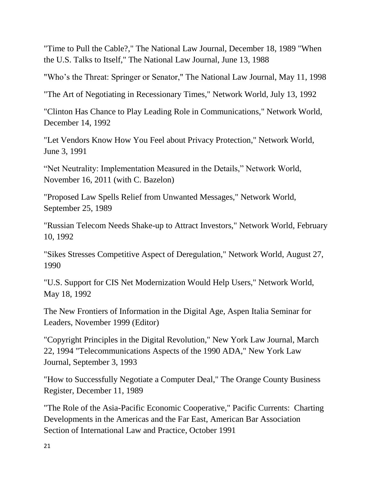"Time to Pull the Cable?," The National Law Journal, December 18, 1989 "When the U.S. Talks to Itself," The National Law Journal, June 13, 1988

"Who's the Threat: Springer or Senator," The National Law Journal, May 11, 1998

"The Art of Negotiating in Recessionary Times," Network World, July 13, 1992

"Clinton Has Chance to Play Leading Role in Communications," Network World, December 14, 1992

"Let Vendors Know How You Feel about Privacy Protection," Network World, June 3, 1991

"Net Neutrality: Implementation Measured in the Details," Network World, November 16, 2011 (with C. Bazelon)

"Proposed Law Spells Relief from Unwanted Messages," Network World, September 25, 1989

"Russian Telecom Needs Shake-up to Attract Investors," Network World, February 10, 1992

"Sikes Stresses Competitive Aspect of Deregulation," Network World, August 27, 1990

"U.S. Support for CIS Net Modernization Would Help Users," Network World, May 18, 1992

The New Frontiers of Information in the Digital Age, Aspen Italia Seminar for Leaders, November 1999 (Editor)

"Copyright Principles in the Digital Revolution," New York Law Journal, March 22, 1994 "Telecommunications Aspects of the 1990 ADA," New York Law Journal, September 3, 1993

"How to Successfully Negotiate a Computer Deal," The Orange County Business Register, December 11, 1989

"The Role of the Asia-Pacific Economic Cooperative," Pacific Currents: Charting Developments in the Americas and the Far East, American Bar Association Section of International Law and Practice, October 1991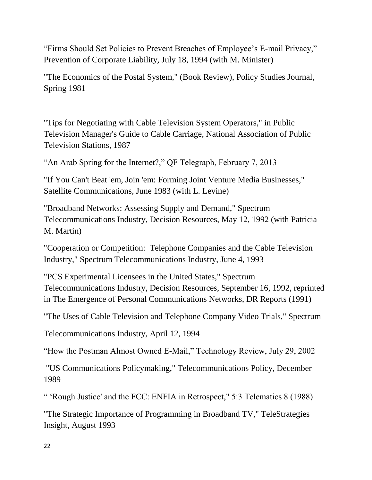"Firms Should Set Policies to Prevent Breaches of Employee's E-mail Privacy," Prevention of Corporate Liability, July 18, 1994 (with M. Minister)

"The Economics of the Postal System," (Book Review), Policy Studies Journal, Spring 1981

"Tips for Negotiating with Cable Television System Operators," in Public Television Manager's Guide to Cable Carriage, National Association of Public Television Stations, 1987

"An Arab Spring for the Internet?," QF Telegraph, February 7, 2013

"If You Can't Beat 'em, Join 'em: Forming Joint Venture Media Businesses," Satellite Communications, June 1983 (with L. Levine)

"Broadband Networks: Assessing Supply and Demand," Spectrum Telecommunications Industry, Decision Resources, May 12, 1992 (with Patricia M. Martin)

"Cooperation or Competition: Telephone Companies and the Cable Television Industry," Spectrum Telecommunications Industry, June 4, 1993

"PCS Experimental Licensees in the United States," Spectrum Telecommunications Industry, Decision Resources, September 16, 1992, reprinted in The Emergence of Personal Communications Networks, DR Reports (1991)

"The Uses of Cable Television and Telephone Company Video Trials," Spectrum

Telecommunications Industry, April 12, 1994

"How the Postman Almost Owned E-Mail," Technology Review, July 29, 2002

"US Communications Policymaking," Telecommunications Policy, December 1989

" 'Rough Justice' and the FCC: ENFIA in Retrospect," 5:3 Telematics 8 (1988)

"The Strategic Importance of Programming in Broadband TV," TeleStrategies Insight, August 1993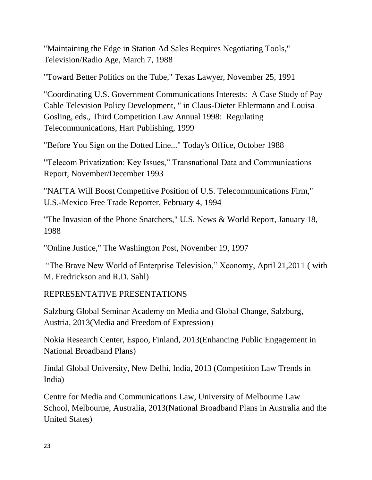"Maintaining the Edge in Station Ad Sales Requires Negotiating Tools," Television/Radio Age, March 7, 1988

"Toward Better Politics on the Tube," Texas Lawyer, November 25, 1991

"Coordinating U.S. Government Communications Interests: A Case Study of Pay Cable Television Policy Development, " in Claus-Dieter Ehlermann and Louisa Gosling, eds., Third Competition Law Annual 1998: Regulating Telecommunications, Hart Publishing, 1999

"Before You Sign on the Dotted Line..." Today's Office, October 1988

"Telecom Privatization: Key Issues," Transnational Data and Communications Report, November/December 1993

"NAFTA Will Boost Competitive Position of U.S. Telecommunications Firm," U.S.-Mexico Free Trade Reporter, February 4, 1994

"The Invasion of the Phone Snatchers," U.S. News & World Report, January 18, 1988

"Online Justice," The Washington Post, November 19, 1997

"The Brave New World of Enterprise Television," Xconomy, April 21,2011 ( with M. Fredrickson and R.D. Sahl)

# REPRESENTATIVE PRESENTATIONS

Salzburg Global Seminar Academy on Media and Global Change, Salzburg, Austria, 2013(Media and Freedom of Expression)

Nokia Research Center, Espoo, Finland, 2013(Enhancing Public Engagement in National Broadband Plans)

Jindal Global University, New Delhi, India, 2013 (Competition Law Trends in India)

Centre for Media and Communications Law, University of Melbourne Law School, Melbourne, Australia, 2013(National Broadband Plans in Australia and the United States)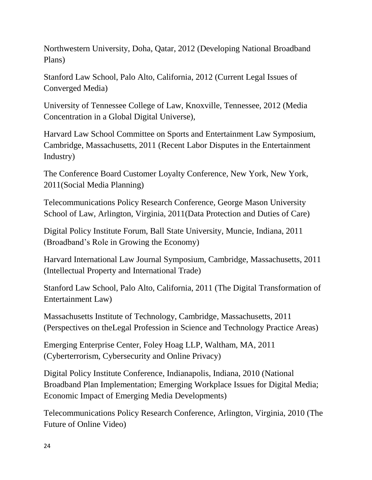Northwestern University, Doha, Qatar, 2012 (Developing National Broadband Plans)

Stanford Law School, Palo Alto, California, 2012 (Current Legal Issues of Converged Media)

University of Tennessee College of Law, Knoxville, Tennessee, 2012 (Media Concentration in a Global Digital Universe),

Harvard Law School Committee on Sports and Entertainment Law Symposium, Cambridge, Massachusetts, 2011 (Recent Labor Disputes in the Entertainment Industry)

The Conference Board Customer Loyalty Conference, New York, New York, 2011(Social Media Planning)

Telecommunications Policy Research Conference, George Mason University School of Law, Arlington, Virginia, 2011(Data Protection and Duties of Care)

Digital Policy Institute Forum, Ball State University, Muncie, Indiana, 2011 (Broadband's Role in Growing the Economy)

Harvard International Law Journal Symposium, Cambridge, Massachusetts, 2011 (Intellectual Property and International Trade)

Stanford Law School, Palo Alto, California, 2011 (The Digital Transformation of Entertainment Law)

Massachusetts Institute of Technology, Cambridge, Massachusetts, 2011 (Perspectives on theLegal Profession in Science and Technology Practice Areas)

Emerging Enterprise Center, Foley Hoag LLP, Waltham, MA, 2011 (Cyberterrorism, Cybersecurity and Online Privacy)

Digital Policy Institute Conference, Indianapolis, Indiana, 2010 (National Broadband Plan Implementation; Emerging Workplace Issues for Digital Media; Economic Impact of Emerging Media Developments)

Telecommunications Policy Research Conference, Arlington, Virginia, 2010 (The Future of Online Video)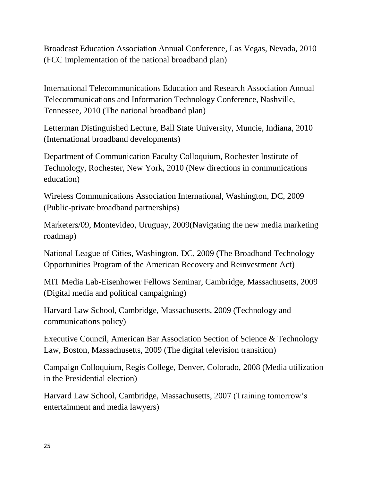Broadcast Education Association Annual Conference, Las Vegas, Nevada, 2010 (FCC implementation of the national broadband plan)

International Telecommunications Education and Research Association Annual Telecommunications and Information Technology Conference, Nashville, Tennessee, 2010 (The national broadband plan)

Letterman Distinguished Lecture, Ball State University, Muncie, Indiana, 2010 (International broadband developments)

Department of Communication Faculty Colloquium, Rochester Institute of Technology, Rochester, New York, 2010 (New directions in communications education)

Wireless Communications Association International, Washington, DC, 2009 (Public-private broadband partnerships)

Marketers/09, Montevideo, Uruguay, 2009(Navigating the new media marketing roadmap)

National League of Cities, Washington, DC, 2009 (The Broadband Technology Opportunities Program of the American Recovery and Reinvestment Act)

MIT Media Lab-Eisenhower Fellows Seminar, Cambridge, Massachusetts, 2009 (Digital media and political campaigning)

Harvard Law School, Cambridge, Massachusetts, 2009 (Technology and communications policy)

Executive Council, American Bar Association Section of Science & Technology Law, Boston, Massachusetts, 2009 (The digital television transition)

Campaign Colloquium, Regis College, Denver, Colorado, 2008 (Media utilization in the Presidential election)

Harvard Law School, Cambridge, Massachusetts, 2007 (Training tomorrow's entertainment and media lawyers)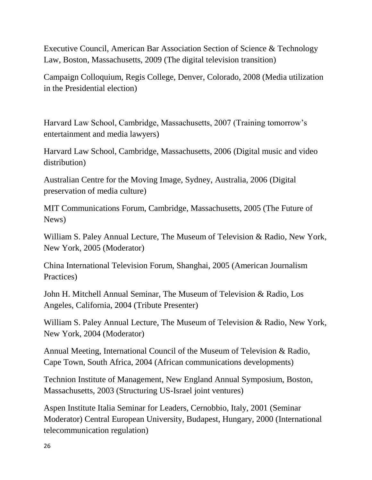Executive Council, American Bar Association Section of Science & Technology Law, Boston, Massachusetts, 2009 (The digital television transition)

Campaign Colloquium, Regis College, Denver, Colorado, 2008 (Media utilization in the Presidential election)

Harvard Law School, Cambridge, Massachusetts, 2007 (Training tomorrow's entertainment and media lawyers)

Harvard Law School, Cambridge, Massachusetts, 2006 (Digital music and video distribution)

Australian Centre for the Moving Image, Sydney, Australia, 2006 (Digital preservation of media culture)

MIT Communications Forum, Cambridge, Massachusetts, 2005 (The Future of News)

William S. Paley Annual Lecture, The Museum of Television & Radio, New York, New York, 2005 (Moderator)

China International Television Forum, Shanghai, 2005 (American Journalism Practices)

John H. Mitchell Annual Seminar, The Museum of Television & Radio, Los Angeles, California, 2004 (Tribute Presenter)

William S. Paley Annual Lecture, The Museum of Television & Radio, New York, New York, 2004 (Moderator)

Annual Meeting, International Council of the Museum of Television & Radio, Cape Town, South Africa, 2004 (African communications developments)

Technion Institute of Management, New England Annual Symposium, Boston, Massachusetts, 2003 (Structuring US-Israel joint ventures)

Aspen Institute Italia Seminar for Leaders, Cernobbio, Italy, 2001 (Seminar Moderator) Central European University, Budapest, Hungary, 2000 (International telecommunication regulation)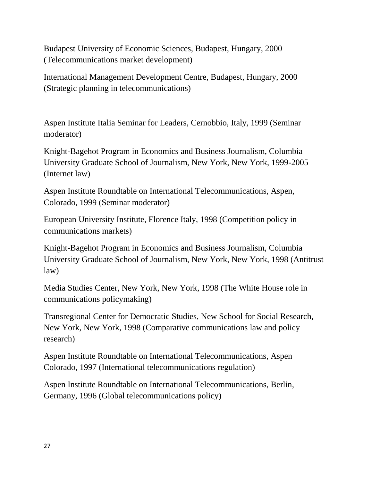Budapest University of Economic Sciences, Budapest, Hungary, 2000 (Telecommunications market development)

International Management Development Centre, Budapest, Hungary, 2000 (Strategic planning in telecommunications)

Aspen Institute Italia Seminar for Leaders, Cernobbio, Italy, 1999 (Seminar moderator)

Knight-Bagehot Program in Economics and Business Journalism, Columbia University Graduate School of Journalism, New York, New York, 1999-2005 (Internet law)

Aspen Institute Roundtable on International Telecommunications, Aspen, Colorado, 1999 (Seminar moderator)

European University Institute, Florence Italy, 1998 (Competition policy in communications markets)

Knight-Bagehot Program in Economics and Business Journalism, Columbia University Graduate School of Journalism, New York, New York, 1998 (Antitrust law)

Media Studies Center, New York, New York, 1998 (The White House role in communications policymaking)

Transregional Center for Democratic Studies, New School for Social Research, New York, New York, 1998 (Comparative communications law and policy research)

Aspen Institute Roundtable on International Telecommunications, Aspen Colorado, 1997 (International telecommunications regulation)

Aspen Institute Roundtable on International Telecommunications, Berlin, Germany, 1996 (Global telecommunications policy)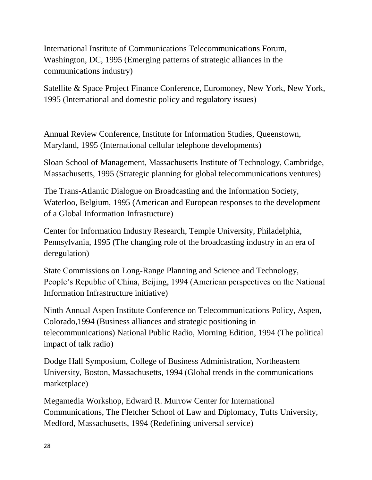International Institute of Communications Telecommunications Forum, Washington, DC, 1995 (Emerging patterns of strategic alliances in the communications industry)

Satellite & Space Project Finance Conference, Euromoney, New York, New York, 1995 (International and domestic policy and regulatory issues)

Annual Review Conference, Institute for Information Studies, Queenstown, Maryland, 1995 (International cellular telephone developments)

Sloan School of Management, Massachusetts Institute of Technology, Cambridge, Massachusetts, 1995 (Strategic planning for global telecommunications ventures)

The Trans-Atlantic Dialogue on Broadcasting and the Information Society, Waterloo, Belgium, 1995 (American and European responses to the development of a Global Information Infrastucture)

Center for Information Industry Research, Temple University, Philadelphia, Pennsylvania, 1995 (The changing role of the broadcasting industry in an era of deregulation)

State Commissions on Long-Range Planning and Science and Technology, People's Republic of China, Beijing, 1994 (American perspectives on the National Information Infrastructure initiative)

Ninth Annual Aspen Institute Conference on Telecommunications Policy, Aspen, Colorado,1994 (Business alliances and strategic positioning in telecommunications) National Public Radio, Morning Edition, 1994 (The political impact of talk radio)

Dodge Hall Symposium, College of Business Administration, Northeastern University, Boston, Massachusetts, 1994 (Global trends in the communications marketplace)

Megamedia Workshop, Edward R. Murrow Center for International Communications, The Fletcher School of Law and Diplomacy, Tufts University, Medford, Massachusetts, 1994 (Redefining universal service)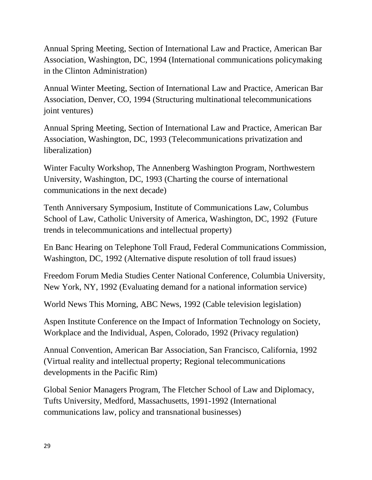Annual Spring Meeting, Section of International Law and Practice, American Bar Association, Washington, DC, 1994 (International communications policymaking in the Clinton Administration)

Annual Winter Meeting, Section of International Law and Practice, American Bar Association, Denver, CO, 1994 (Structuring multinational telecommunications joint ventures)

Annual Spring Meeting, Section of International Law and Practice, American Bar Association, Washington, DC, 1993 (Telecommunications privatization and liberalization)

Winter Faculty Workshop, The Annenberg Washington Program, Northwestern University, Washington, DC, 1993 (Charting the course of international communications in the next decade)

Tenth Anniversary Symposium, Institute of Communications Law, Columbus School of Law, Catholic University of America, Washington, DC, 1992 (Future trends in telecommunications and intellectual property)

En Banc Hearing on Telephone Toll Fraud, Federal Communications Commission, Washington, DC, 1992 (Alternative dispute resolution of toll fraud issues)

Freedom Forum Media Studies Center National Conference, Columbia University, New York, NY, 1992 (Evaluating demand for a national information service)

World News This Morning, ABC News, 1992 (Cable television legislation)

Aspen Institute Conference on the Impact of Information Technology on Society, Workplace and the Individual, Aspen, Colorado, 1992 (Privacy regulation)

Annual Convention, American Bar Association, San Francisco, California, 1992 (Virtual reality and intellectual property; Regional telecommunications developments in the Pacific Rim)

Global Senior Managers Program, The Fletcher School of Law and Diplomacy, Tufts University, Medford, Massachusetts, 1991-1992 (International communications law, policy and transnational businesses)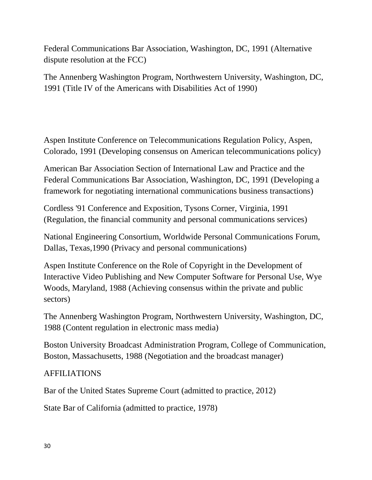Federal Communications Bar Association, Washington, DC, 1991 (Alternative dispute resolution at the FCC)

The Annenberg Washington Program, Northwestern University, Washington, DC, 1991 (Title IV of the Americans with Disabilities Act of 1990)

Aspen Institute Conference on Telecommunications Regulation Policy, Aspen, Colorado, 1991 (Developing consensus on American telecommunications policy)

American Bar Association Section of International Law and Practice and the Federal Communications Bar Association, Washington, DC, 1991 (Developing a framework for negotiating international communications business transactions)

Cordless '91 Conference and Exposition, Tysons Corner, Virginia, 1991 (Regulation, the financial community and personal communications services)

National Engineering Consortium, Worldwide Personal Communications Forum, Dallas, Texas,1990 (Privacy and personal communications)

Aspen Institute Conference on the Role of Copyright in the Development of Interactive Video Publishing and New Computer Software for Personal Use, Wye Woods, Maryland, 1988 (Achieving consensus within the private and public sectors)

The Annenberg Washington Program, Northwestern University, Washington, DC, 1988 (Content regulation in electronic mass media)

Boston University Broadcast Administration Program, College of Communication, Boston, Massachusetts, 1988 (Negotiation and the broadcast manager)

### AFFILIATIONS

Bar of the United States Supreme Court (admitted to practice, 2012)

State Bar of California (admitted to practice, 1978)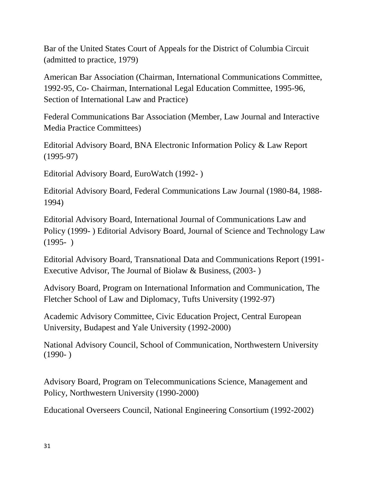Bar of the United States Court of Appeals for the District of Columbia Circuit (admitted to practice, 1979)

American Bar Association (Chairman, International Communications Committee, 1992-95, Co- Chairman, International Legal Education Committee, 1995-96, Section of International Law and Practice)

Federal Communications Bar Association (Member, Law Journal and Interactive Media Practice Committees)

Editorial Advisory Board, BNA Electronic Information Policy & Law Report (1995-97)

Editorial Advisory Board, EuroWatch (1992- )

Editorial Advisory Board, Federal Communications Law Journal (1980-84, 1988- 1994)

Editorial Advisory Board, International Journal of Communications Law and Policy (1999- ) Editorial Advisory Board, Journal of Science and Technology Law  $(1995- )$ 

Editorial Advisory Board, Transnational Data and Communications Report (1991- Executive Advisor, The Journal of Biolaw & Business, (2003- )

Advisory Board, Program on International Information and Communication, The Fletcher School of Law and Diplomacy, Tufts University (1992-97)

Academic Advisory Committee, Civic Education Project, Central European University, Budapest and Yale University (1992-2000)

National Advisory Council, School of Communication, Northwestern University  $(1990- )$ 

Advisory Board, Program on Telecommunications Science, Management and Policy, Northwestern University (1990-2000)

Educational Overseers Council, National Engineering Consortium (1992-2002)